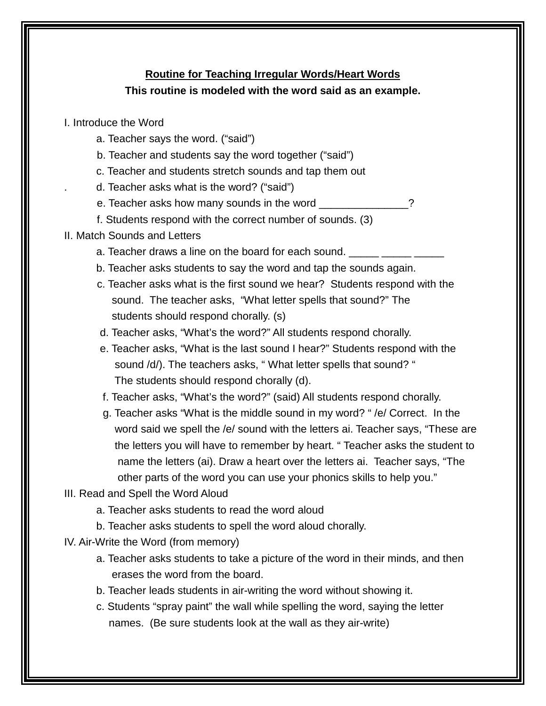## **Routine for Teaching Irregular Words/Heart Words This routine is modeled with the word said as an example.**

- I. Introduce the Word
	- a. Teacher says the word. ("said")
	- b. Teacher and students say the word together ("said")
	- c. Teacher and students stretch sounds and tap them out
	- . d. Teacher asks what is the word? ("said")
	- e. Teacher asks how many sounds in the word
	- f. Students respond with the correct number of sounds. (3)

## II. Match Sounds and Letters

- a. Teacher draws a line on the board for each sound.
- b. Teacher asks students to say the word and tap the sounds again.
- c. Teacher asks what is the first sound we hear? Students respond with the sound. The teacher asks, "What letter spells that sound?" The students should respond chorally. (s)
- d. Teacher asks, "What's the word?" All students respond chorally.
- e. Teacher asks, "What is the last sound I hear?" Students respond with the sound /d/). The teachers asks, "What letter spells that sound? " The students should respond chorally (d).
- f. Teacher asks, "What's the word?" (said) All students respond chorally.
- g. Teacher asks "What is the middle sound in my word? " /e/ Correct. In the word said we spell the /e/ sound with the letters ai. Teacher says, "These are the letters you will have to remember by heart. " Teacher asks the student to name the letters (ai). Draw a heart over the letters ai. Teacher says, "The other parts of the word you can use your phonics skills to help you."
- III. Read and Spell the Word Aloud
	- a. Teacher asks students to read the word aloud
	- b. Teacher asks students to spell the word aloud chorally.
- IV. Air-Write the Word (from memory)
	- a. Teacher asks students to take a picture of the word in their minds, and then erases the word from the board.
	- b. Teacher leads students in air-writing the word without showing it.
	- c. Students "spray paint" the wall while spelling the word, saying the letter names. (Be sure students look at the wall as they air-write)